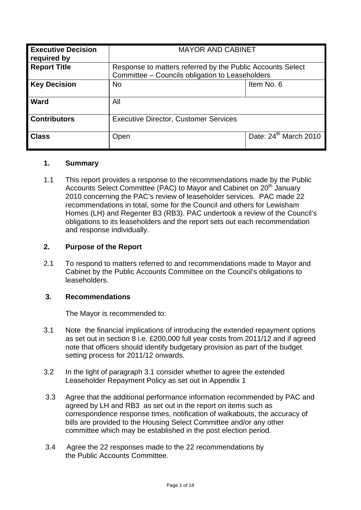| <b>Executive Decision</b><br>required by | <b>MAYOR AND CABINET</b>                                                                                      |                                   |
|------------------------------------------|---------------------------------------------------------------------------------------------------------------|-----------------------------------|
| <b>Report Title</b>                      | Response to matters referred by the Public Accounts Select<br>Committee - Councils obligation to Leaseholders |                                   |
| <b>Key Decision</b>                      | <b>No</b>                                                                                                     | Item No. 6                        |
| <b>Ward</b>                              | All                                                                                                           |                                   |
| <b>Contributors</b>                      | <b>Executive Director, Customer Services</b>                                                                  |                                   |
| <b>Class</b>                             | Open                                                                                                          | Date: 24 <sup>th</sup> March 2010 |

## **1. Summary**

1.1 This report provides a response to the recommendations made by the Public Accounts Select Committee (PAC) to Mayor and Cabinet on 20<sup>th</sup> January 2010 concerning the PAC's review of leaseholder services. PAC made 22 recommendations in total, some for the Council and others for Lewisham Homes (LH) and Regenter B3 (RB3). PAC undertook a review of the Council's obligations to its leaseholders and the report sets out each recommendation and response individually.

## **2. Purpose of the Report**

2.1 To respond to matters referred to and recommendations made to Mayor and Cabinet by the Public Accounts Committee on the Council's obligations to leaseholders.

## **3. Recommendations**

The Mayor is recommended to:

- 3.1 Note the financial implications of introducing the extended repayment options as set out in section 8 i.e. £200,000 full year costs from 2011/12 and if agreed note that officers should identify budgetary provision as part of the budget setting process for 2011/12 onwards.
- 3.2 In the light of paragraph 3.1 consider whether to agree the extended Leaseholder Repayment Policy as set out in Appendix 1
- 3.3 Agree that the additional performance information recommended by PAC and agreed by LH and RB3 as set out in the report on items such as correspondence response times, notification of walkabouts, the accuracy of bills are provided to the Housing Select Committee and/or any other committee which may be established in the post election period.
- 3.4 Agree the 22 responses made to the 22 recommendations by the Public Accounts Committee.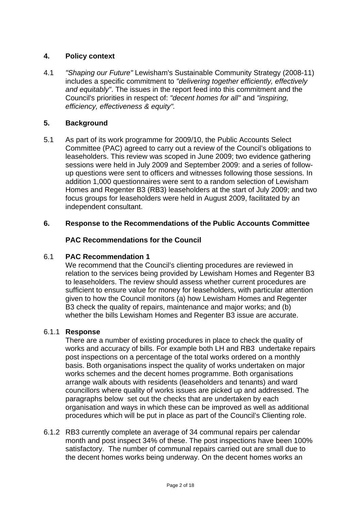# **4. Policy context**

4.1 *"Shaping our Future"* Lewisham's Sustainable Community Strategy (2008-11) includes a specific commitment to *"delivering together efficiently, effectively and equitably"*. The issues in the report feed into this commitment and the Council's priorities in respect of: *"decent homes for all"* and *"inspiring, efficiency, effectiveness & equity".* 

## **5. Background**

5.1 As part of its work programme for 2009/10, the Public Accounts Select Committee (PAC) agreed to carry out a review of the Council's obligations to leaseholders. This review was scoped in June 2009; two evidence gathering sessions were held in July 2009 and September 2009: and a series of followup questions were sent to officers and witnesses following those sessions. In addition 1,000 questionnaires were sent to a random selection of Lewisham Homes and Regenter B3 (RB3) leaseholders at the start of July 2009; and two focus groups for leaseholders were held in August 2009, facilitated by an independent consultant.

## **6. Response to the Recommendations of the Public Accounts Committee**

## **PAC Recommendations for the Council**

## 6.1 **PAC Recommendation 1**

We recommend that the Council's clienting procedures are reviewed in relation to the services being provided by Lewisham Homes and Regenter B3 to leaseholders. The review should assess whether current procedures are sufficient to ensure value for money for leaseholders, with particular attention given to how the Council monitors (a) how Lewisham Homes and Regenter B3 check the quality of repairs, maintenance and major works; and (b) whether the bills Lewisham Homes and Regenter B3 issue are accurate.

#### 6.1.1 **Response**

There are a number of existing procedures in place to check the quality of works and accuracy of bills. For example both LH and RB3 undertake repairs post inspections on a percentage of the total works ordered on a monthly basis. Both organisations inspect the quality of works undertaken on major works schemes and the decent homes programme. Both organisations arrange walk abouts with residents (leaseholders and tenants) and ward councillors where quality of works issues are picked up and addressed. The paragraphs below set out the checks that are undertaken by each organisation and ways in which these can be improved as well as additional procedures which will be put in place as part of the Council's Clienting role.

6.1.2 RB3 currently complete an average of 34 communal repairs per calendar month and post inspect 34% of these. The post inspections have been 100% satisfactory. The number of communal repairs carried out are small due to the decent homes works being underway. On the decent homes works an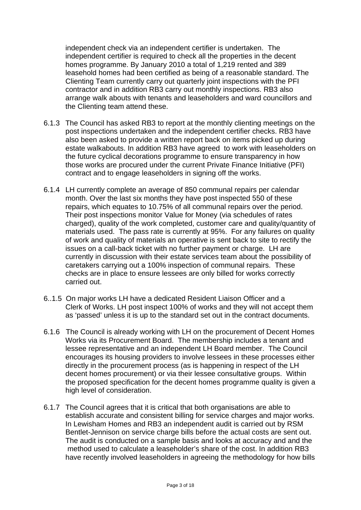independent check via an independent certifier is undertaken. The independent certifier is required to check all the properties in the decent homes programme. By January 2010 a total of 1,219 rented and 389 leasehold homes had been certified as being of a reasonable standard. The Clienting Team currently carry out quarterly joint inspections with the PFI contractor and in addition RB3 carry out monthly inspections. RB3 also arrange walk abouts with tenants and leaseholders and ward councillors and the Clienting team attend these.

- 6.1.3 The Council has asked RB3 to report at the monthly clienting meetings on the post inspections undertaken and the independent certifier checks. RB3 have also been asked to provide a written report back on items picked up during estate walkabouts. In addition RB3 have agreed to work with leaseholders on the future cyclical decorations programme to ensure transparency in how those works are procured under the current Private Finance Initiative (PFI) contract and to engage leaseholders in signing off the works.
- 6.1.4 LH currently complete an average of 850 communal repairs per calendar month. Over the last six months they have post inspected 550 of these repairs, which equates to 10.75% of all communal repairs over the period. Their post inspections monitor Value for Money (via schedules of rates charged), quality of the work completed, customer care and quality/quantity of materials used. The pass rate is currently at 95%. For any failures on quality of work and quality of materials an operative is sent back to site to rectify the issues on a call-back ticket with no further payment or charge. LH are currently in discussion with their estate services team about the possibility of caretakers carrying out a 100% inspection of communal repairs. These checks are in place to ensure lessees are only billed for works correctly carried out.
- 6..1.5 On major works LH have a dedicated Resident Liaison Officer and a Clerk of Works. LH post inspect 100% of works and they will not accept them as 'passed' unless it is up to the standard set out in the contract documents.
- 6.1.6 The Council is already working with LH on the procurement of Decent Homes Works via its Procurement Board. The membership includes a tenant and lessee representative and an independent LH Board member. The Council encourages its housing providers to involve lessees in these processes either directly in the procurement process (as is happening in respect of the LH decent homes procurement) or via their lessee consultative groups. Within the proposed specification for the decent homes programme quality is given a high level of consideration.
- 6.1.7 The Council agrees that it is critical that both organisations are able to establish accurate and consistent billing for service charges and major works. In Lewisham Homes and RB3 an independent audit is carried out by RSM Bentlet-Jennison on service charge bills before the actual costs are sent out. The audit is conducted on a sample basis and looks at accuracy and and the method used to calculate a leaseholder's share of the cost. In addition RB3 have recently involved leaseholders in agreeing the methodology for how bills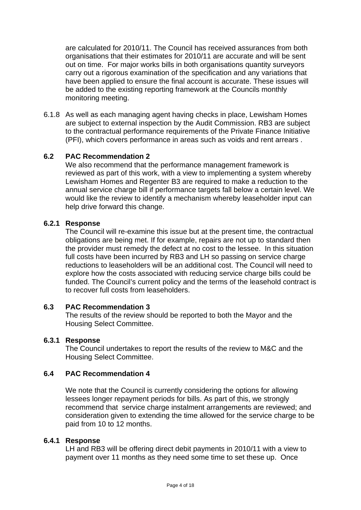are calculated for 2010/11. The Council has received assurances from both organisations that their estimates for 2010/11 are accurate and will be sent out on time. For major works bills in both organisations quantity surveyors carry out a rigorous examination of the specification and any variations that have been applied to ensure the final account is accurate. These issues will be added to the existing reporting framework at the Councils monthly monitoring meeting.

6.1.8 As well as each managing agent having checks in place, Lewisham Homes are subject to external inspection by the Audit Commission. RB3 are subject to the contractual performance requirements of the Private Finance Initiative (PFI), which covers performance in areas such as voids and rent arrears .

# **6.2 PAC Recommendation 2**

 We also recommend that the performance management framework is reviewed as part of this work, with a view to implementing a system whereby Lewisham Homes and Regenter B3 are required to make a reduction to the annual service charge bill if performance targets fall below a certain level. We would like the review to identify a mechanism whereby leaseholder input can help drive forward this change.

# **6.2.1 Response**

 The Council will re-examine this issue but at the present time, the contractual obligations are being met. If for example, repairs are not up to standard then the provider must remedy the defect at no cost to the lessee. In this situation full costs have been incurred by RB3 and LH so passing on service charge reductions to leaseholders will be an additional cost. The Council will need to explore how the costs associated with reducing service charge bills could be funded. The Council's current policy and the terms of the leasehold contract is to recover full costs from leaseholders.

## **6.3 PAC Recommendation 3**

The results of the review should be reported to both the Mayor and the Housing Select Committee.

## **6.3.1 Response**

 The Council undertakes to report the results of the review to M&C and the Housing Select Committee.

## **6.4 PAC Recommendation 4**

We note that the Council is currently considering the options for allowing lessees longer repayment periods for bills. As part of this, we strongly recommend that service charge instalment arrangements are reviewed; and consideration given to extending the time allowed for the service charge to be paid from 10 to 12 months.

#### **6.4.1 Response**

LH and RB3 will be offering direct debit payments in 2010/11 with a view to payment over 11 months as they need some time to set these up. Once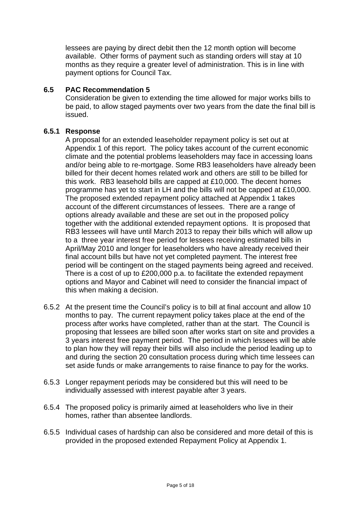lessees are paying by direct debit then the 12 month option will become available. Other forms of payment such as standing orders will stay at 10 months as they require a greater level of administration. This is in line with payment options for Council Tax.

## **6.5 PAC Recommendation 5**

 Consideration be given to extending the time allowed for major works bills to be paid, to allow staged payments over two years from the date the final bill is issued.

# **6.5.1 Response**

 A proposal for an extended leaseholder repayment policy is set out at Appendix 1 of this report. The policy takes account of the current economic climate and the potential problems leaseholders may face in accessing loans and/or being able to re-mortgage. Some RB3 leaseholders have already been billed for their decent homes related work and others are still to be billed for this work. RB3 leasehold bills are capped at £10,000. The decent homes programme has yet to start in LH and the bills will not be capped at £10,000. The proposed extended repayment policy attached at Appendix 1 takes account of the different circumstances of lessees. There are a range of options already available and these are set out in the proposed policy together with the additional extended repayment options. It is proposed that RB3 lessees will have until March 2013 to repay their bills which will allow up to a three year interest free period for lessees receiving estimated bills in April/May 2010 and longer for leaseholders who have already received their final account bills but have not yet completed payment. The interest free period will be contingent on the staged payments being agreed and received. There is a cost of up to £200,000 p.a. to facilitate the extended repayment options and Mayor and Cabinet will need to consider the financial impact of this when making a decision.

- 6.5.2 At the present time the Council's policy is to bill at final account and allow 10 months to pay. The current repayment policy takes place at the end of the process after works have completed, rather than at the start. The Council is proposing that lessees are billed soon after works start on site and provides a 3 years interest free payment period. The period in which lessees will be able to plan how they will repay their bills will also include the period leading up to and during the section 20 consultation process during which time lessees can set aside funds or make arrangements to raise finance to pay for the works.
- 6.5.3 Longer repayment periods may be considered but this will need to be individually assessed with interest payable after 3 years.
- 6.5.4 The proposed policy is primarily aimed at leaseholders who live in their homes, rather than absentee landlords.
- 6.5.5 Individual cases of hardship can also be considered and more detail of this is provided in the proposed extended Repayment Policy at Appendix 1.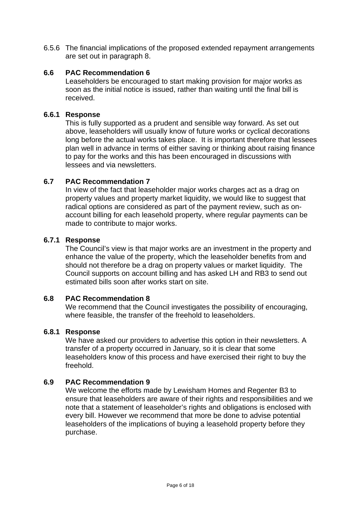6.5.6 The financial implications of the proposed extended repayment arrangements are set out in paragraph 8.

# **6.6 PAC Recommendation 6**

 Leaseholders be encouraged to start making provision for major works as soon as the initial notice is issued, rather than waiting until the final bill is received.

## **6.6.1 Response**

This is fully supported as a prudent and sensible way forward. As set out above, leaseholders will usually know of future works or cyclical decorations long before the actual works takes place. It is important therefore that lessees plan well in advance in terms of either saving or thinking about raising finance to pay for the works and this has been encouraged in discussions with lessees and via newsletters.

## **6.7 PAC Recommendation 7**

 In view of the fact that leaseholder major works charges act as a drag on property values and property market liquidity, we would like to suggest that radical options are considered as part of the payment review, such as onaccount billing for each leasehold property, where regular payments can be made to contribute to major works.

## **6.7.1 Response**

 The Council's view is that major works are an investment in the property and enhance the value of the property, which the leaseholder benefits from and should not therefore be a drag on property values or market liquidity. The Council supports on account billing and has asked LH and RB3 to send out estimated bills soon after works start on site.

## **6.8 PAC Recommendation 8**

 We recommend that the Council investigates the possibility of encouraging, where feasible, the transfer of the freehold to leaseholders.

## **6.8.1 Response**

 We have asked our providers to advertise this option in their newsletters. A transfer of a property occurred in January, so it is clear that some leaseholders know of this process and have exercised their right to buy the freehold.

## **6.9 PAC Recommendation 9**

We welcome the efforts made by Lewisham Homes and Regenter B3 to ensure that leaseholders are aware of their rights and responsibilities and we note that a statement of leaseholder's rights and obligations is enclosed with every bill. However we recommend that more be done to advise potential leaseholders of the implications of buying a leasehold property before they purchase.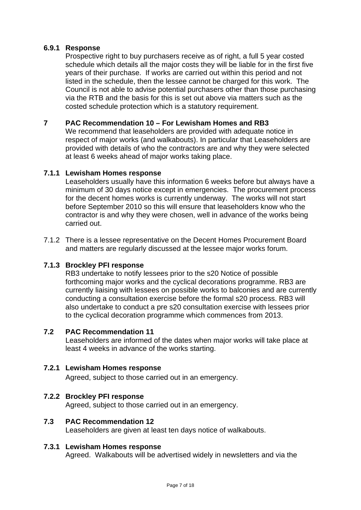## **6.9.1 Response**

 Prospective right to buy purchasers receive as of right, a full 5 year costed schedule which details all the major costs they will be liable for in the first five years of their purchase. If works are carried out within this period and not listed in the schedule, then the lessee cannot be charged for this work. The Council is not able to advise potential purchasers other than those purchasing via the RTB and the basis for this is set out above via matters such as the costed schedule protection which is a statutory requirement.

# **7 PAC Recommendation 10 – For Lewisham Homes and RB3**

 We recommend that leaseholders are provided with adequate notice in respect of major works (and walkabouts). In particular that Leaseholders are provided with details of who the contractors are and why they were selected at least 6 weeks ahead of major works taking place.

## **7.1.1 Lewisham Homes response**

 Leaseholders usually have this information 6 weeks before but always have a minimum of 30 days notice except in emergencies. The procurement process for the decent homes works is currently underway. The works will not start before September 2010 so this will ensure that leaseholders know who the contractor is and why they were chosen, well in advance of the works being carried out.

7.1.2 There is a lessee representative on the Decent Homes Procurement Board and matters are regularly discussed at the lessee major works forum.

## **7.1.3 Brockley PFI response**

 RB3 undertake to notify lessees prior to the s20 Notice of possible forthcoming major works and the cyclical decorations programme. RB3 are currently liaising with lessees on possible works to balconies and are currently conducting a consultation exercise before the formal s20 process. RB3 will also undertake to conduct a pre s20 consultation exercise with lessees prior to the cyclical decoration programme which commences from 2013.

## **7.2 PAC Recommendation 11**

 Leaseholders are informed of the dates when major works will take place at least 4 weeks in advance of the works starting.

## **7.2.1 Lewisham Homes response**

Agreed, subject to those carried out in an emergency.

## **7.2.2 Brockley PFI response**

Agreed, subject to those carried out in an emergency.

## **7.3 PAC Recommendation 12**

Leaseholders are given at least ten days notice of walkabouts.

#### **7.3.1 Lewisham Homes response**

Agreed. Walkabouts will be advertised widely in newsletters and via the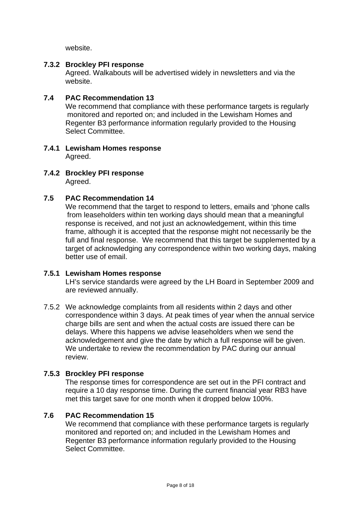website.

## **7.3.2 Brockley PFI response**

 Agreed. Walkabouts will be advertised widely in newsletters and via the website.

# **7.4 PAC Recommendation 13**

 We recommend that compliance with these performance targets is regularly monitored and reported on; and included in the Lewisham Homes and Regenter B3 performance information regularly provided to the Housing Select Committee.

#### **7.4.1 Lewisham Homes response**  Agreed.

**7.4.2 Brockley PFI response**  Agreed.

# **7.5 PAC Recommendation 14**

 We recommend that the target to respond to letters, emails and 'phone calls from leaseholders within ten working days should mean that a meaningful response is received, and not just an acknowledgement, within this time frame, although it is accepted that the response might not necessarily be the full and final response. We recommend that this target be supplemented by a target of acknowledging any correspondence within two working days, making better use of email.

## **7.5.1 Lewisham Homes response**

 LH's service standards were agreed by the LH Board in September 2009 and are reviewed annually.

7.5.2 We acknowledge complaints from all residents within 2 days and other correspondence within 3 days. At peak times of year when the annual service charge bills are sent and when the actual costs are issued there can be delays. Where this happens we advise leaseholders when we send the acknowledgement and give the date by which a full response will be given. We undertake to review the recommendation by PAC during our annual review.

# **7.5.3 Brockley PFI response**

 The response times for correspondence are set out in the PFI contract and require a 10 day response time. During the current financial year RB3 have met this target save for one month when it dropped below 100%.

## **7.6 PAC Recommendation 15**

 We recommend that compliance with these performance targets is regularly monitored and reported on; and included in the Lewisham Homes and Regenter B3 performance information regularly provided to the Housing Select Committee.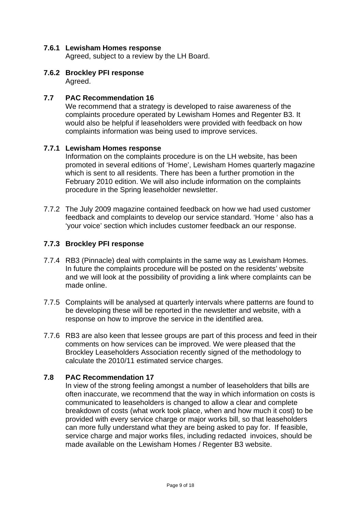## **7.6.1 Lewisham Homes response**

Agreed, subject to a review by the LH Board.

**7.6.2 Brockley PFI response**  Agreed.

#### **7.7 PAC Recommendation 16**

 We recommend that a strategy is developed to raise awareness of the complaints procedure operated by Lewisham Homes and Regenter B3. It would also be helpful if leaseholders were provided with feedback on how complaints information was being used to improve services.

#### **7.7.1 Lewisham Homes response**

 Information on the complaints procedure is on the LH website, has been promoted in several editions of 'Home', Lewisham Homes quarterly magazine which is sent to all residents. There has been a further promotion in the February 2010 edition. We will also include information on the complaints procedure in the Spring leaseholder newsletter.

7.7.2 The July 2009 magazine contained feedback on how we had used customer feedback and complaints to develop our service standard. 'Home ' also has a 'your voice' section which includes customer feedback an our response.

#### **7.7.3 Brockley PFI response**

- 7.7.4 RB3 (Pinnacle) deal with complaints in the same way as Lewisham Homes. In future the complaints procedure will be posted on the residents' website and we will look at the possibility of providing a link where complaints can be made online.
- 7.7.5 Complaints will be analysed at quarterly intervals where patterns are found to be developing these will be reported in the newsletter and website, with a response on how to improve the service in the identified area.
- 7.7.6 RB3 are also keen that lessee groups are part of this process and feed in their comments on how services can be improved. We were pleased that the Brockley Leaseholders Association recently signed of the methodology to calculate the 2010/11 estimated service charges.

## **7.8 PAC Recommendation 17**

 In view of the strong feeling amongst a number of leaseholders that bills are often inaccurate, we recommend that the way in which information on costs is communicated to leaseholders is changed to allow a clear and complete breakdown of costs (what work took place, when and how much it cost) to be provided with every service charge or major works bill, so that leaseholders can more fully understand what they are being asked to pay for. If feasible, service charge and major works files, including redacted invoices, should be made available on the Lewisham Homes / Regenter B3 website.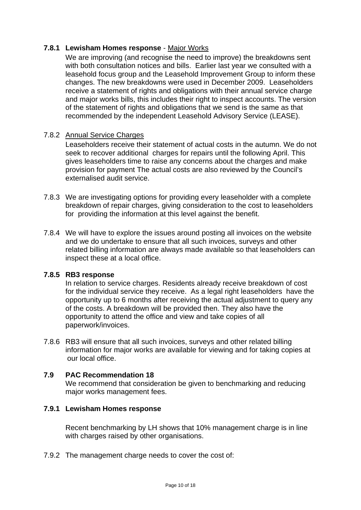# **7.8.1 Lewisham Homes response** - Major Works

We are improving (and recognise the need to improve) the breakdowns sent with both consultation notices and bills. Earlier last year we consulted with a leasehold focus group and the Leasehold Improvement Group to inform these changes. The new breakdowns were used in December 2009. Leaseholders receive a statement of rights and obligations with their annual service charge and major works bills, this includes their right to inspect accounts. The version of the statement of rights and obligations that we send is the same as that recommended by the independent Leasehold Advisory Service (LEASE).

## 7.8.2 Annual Service Charges

 Leaseholders receive their statement of actual costs in the autumn. We do not seek to recover additional charges for repairs until the following April. This gives leaseholders time to raise any concerns about the charges and make provision for payment The actual costs are also reviewed by the Council's externalised audit service.

- 7.8.3 We are investigating options for providing every leaseholder with a complete breakdown of repair charges, giving consideration to the cost to leaseholders for providing the information at this level against the benefit.
- 7.8.4 We will have to explore the issues around posting all invoices on the website and we do undertake to ensure that all such invoices, surveys and other related billing information are always made available so that leaseholders can inspect these at a local office.

#### **7.8.5 RB3 response**

 In relation to service charges. Residents already receive breakdown of cost for the individual service they receive. As a legal right leaseholders have the opportunity up to 6 months after receiving the actual adjustment to query any of the costs. A breakdown will be provided then. They also have the opportunity to attend the office and view and take copies of all paperwork/invoices.

7.8.6 RB3 will ensure that all such invoices, surveys and other related billing information for major works are available for viewing and for taking copies at our local office.

#### **7.9 PAC Recommendation 18**

 We recommend that consideration be given to benchmarking and reducing major works management fees.

#### **7.9.1 Lewisham Homes response**

 Recent benchmarking by LH shows that 10% management charge is in line with charges raised by other organisations.

7.9.2 The management charge needs to cover the cost of: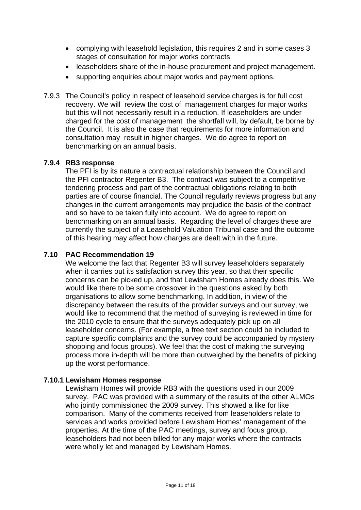- complying with leasehold legislation, this requires 2 and in some cases 3 stages of consultation for major works contracts
- leaseholders share of the in-house procurement and project management.
- supporting enquiries about major works and payment options.
- 7.9.3 The Council's policy in respect of leasehold service charges is for full cost recovery. We will review the cost of management charges for major works but this will not necessarily result in a reduction. If leaseholders are under charged for the cost of management the shortfall will, by default, be borne by the Council. It is also the case that requirements for more information and consultation may result in higher charges. We do agree to report on benchmarking on an annual basis.

## **7.9.4 RB3 response**

 The PFI is by its nature a contractual relationship between the Council and the PFI contractor Regenter B3. The contract was subject to a competitive tendering process and part of the contractual obligations relating to both parties are of course financial. The Council regularly reviews progress but any changes in the current arrangements may prejudice the basis of the contract and so have to be taken fully into account. We do agree to report on benchmarking on an annual basis. Regarding the level of charges these are currently the subject of a Leasehold Valuation Tribunal case and the outcome of this hearing may affect how charges are dealt with in the future.

# **7.10 PAC Recommendation 19**

 We welcome the fact that Regenter B3 will survey leaseholders separately when it carries out its satisfaction survey this year, so that their specific concerns can be picked up, and that Lewisham Homes already does this. We would like there to be some crossover in the questions asked by both organisations to allow some benchmarking. In addition, in view of the discrepancy between the results of the provider surveys and our survey, we would like to recommend that the method of surveying is reviewed in time for the 2010 cycle to ensure that the surveys adequately pick up on all leaseholder concerns. (For example, a free text section could be included to capture specific complaints and the survey could be accompanied by mystery shopping and focus groups). We feel that the cost of making the surveying process more in-depth will be more than outweighed by the benefits of picking up the worst performance.

## **7.10.1 Lewisham Homes response**

 Lewisham Homes will provide RB3 with the questions used in our 2009 survey. PAC was provided with a summary of the results of the other ALMOs who jointly commissioned the 2009 survey. This showed a like for like comparison. Many of the comments received from leaseholders relate to services and works provided before Lewisham Homes' management of the properties. At the time of the PAC meetings, survey and focus group, leaseholders had not been billed for any major works where the contracts were wholly let and managed by Lewisham Homes.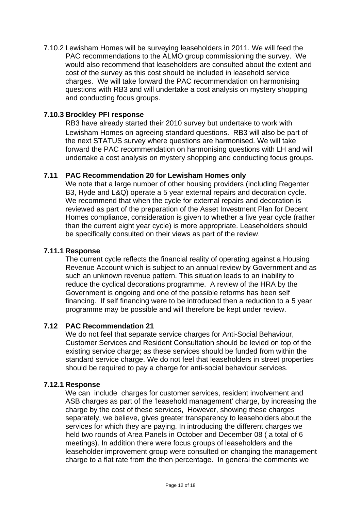7.10.2 Lewisham Homes will be surveying leaseholders in 2011. We will feed the PAC recommendations to the ALMO group commissioning the survey. We would also recommend that leaseholders are consulted about the extent and cost of the survey as this cost should be included in leasehold service charges. We will take forward the PAC recommendation on harmonising questions with RB3 and will undertake a cost analysis on mystery shopping and conducting focus groups.

# **7.10.3 Brockley PFI response**

 RB3 have already started their 2010 survey but undertake to work with Lewisham Homes on agreeing standard questions. RB3 will also be part of the next STATUS survey where questions are harmonised. We will take forward the PAC recommendation on harmonising questions with LH and will undertake a cost analysis on mystery shopping and conducting focus groups.

## **7.11 PAC Recommendation 20 for Lewisham Homes only**

 We note that a large number of other housing providers (including Regenter B3, Hyde and L&Q) operate a 5 year external repairs and decoration cycle. We recommend that when the cycle for external repairs and decoration is reviewed as part of the preparation of the Asset Investment Plan for Decent Homes compliance, consideration is given to whether a five year cycle (rather than the current eight year cycle) is more appropriate. Leaseholders should be specifically consulted on their views as part of the review.

#### **7.11.1 Response**

 The current cycle reflects the financial reality of operating against a Housing Revenue Account which is subject to an annual review by Government and as such an unknown revenue pattern. This situation leads to an inability to reduce the cyclical decorations programme. A review of the HRA by the Government is ongoing and one of the possible reforms has been self financing. If self financing were to be introduced then a reduction to a 5 year programme may be possible and will therefore be kept under review.

## **7.12 PAC Recommendation 21**

 We do not feel that separate service charges for Anti-Social Behaviour, Customer Services and Resident Consultation should be levied on top of the existing service charge; as these services should be funded from within the standard service charge. We do not feel that leaseholders in street properties should be required to pay a charge for anti-social behaviour services.

#### **7.12.1 Response**

 We can include charges for customer services, resident involvement and ASB charges as part of the 'leasehold management' charge, by increasing the charge by the cost of these services, However, showing these charges separately, we believe, gives greater transparency to leaseholders about the services for which they are paying. In introducing the different charges we held two rounds of Area Panels in October and December 08 ( a total of 6 meetings). In addition there were focus groups of leaseholders and the leaseholder improvement group were consulted on changing the management charge to a flat rate from the then percentage. In general the comments we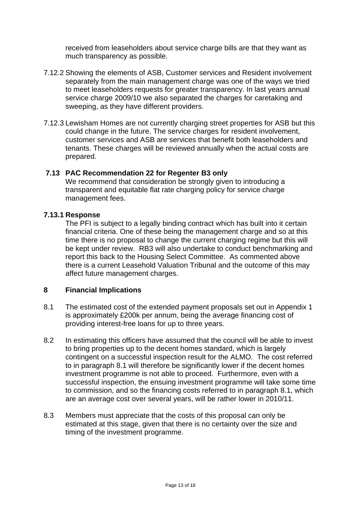received from leaseholders about service charge bills are that they want as much transparency as possible.

- 7.12.2 Showing the elements of ASB, Customer services and Resident involvement separately from the main management charge was one of the ways we tried to meet leaseholders requests for greater transparency. In last years annual service charge 2009/10 we also separated the charges for caretaking and sweeping, as they have different providers.
- 7.12.3 Lewisham Homes are not currently charging street properties for ASB but this could change in the future. The service charges for resident involvement, customer services and ASB are services that benefit both leaseholders and tenants. These charges will be reviewed annually when the actual costs are prepared.

#### **7.13 PAC Recommendation 22 for Regenter B3 only**

 We recommend that consideration be strongly given to introducing a transparent and equitable flat rate charging policy for service charge management fees.

#### **7.13.1 Response**

 The PFI is subject to a legally binding contract which has built into it certain financial criteria. One of these being the management charge and so at this time there is no proposal to change the current charging regime but this will be kept under review. RB3 will also undertake to conduct benchmarking and report this back to the Housing Select Committee. As commented above there is a current Leasehold Valuation Tribunal and the outcome of this may affect future management charges.

#### **8 Financial Implications**

- 8.1 The estimated cost of the extended payment proposals set out in Appendix 1 is approximately £200k per annum, being the average financing cost of providing interest-free loans for up to three years.
- 8.2 In estimating this officers have assumed that the council will be able to invest to bring properties up to the decent homes standard, which is largely contingent on a successful inspection result for the ALMO. The cost referred to in paragraph 8.1 will therefore be significantly lower if the decent homes investment programme is not able to proceed. Furthermore, even with a successful inspection, the ensuing investment programme will take some time to commission, and so the financing costs referred to in paragraph 8.1, which are an average cost over several years, will be rather lower in 2010/11.
- 8.3 Members must appreciate that the costs of this proposal can only be estimated at this stage, given that there is no certainty over the size and timing of the investment programme.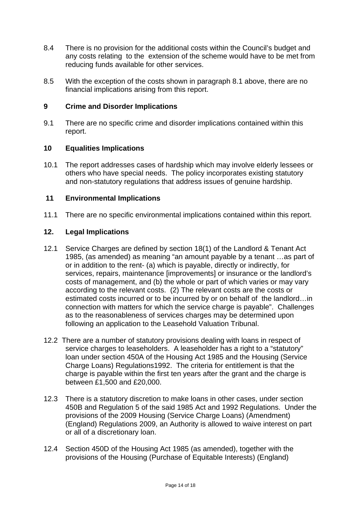- 8.4 There is no provision for the additional costs within the Council's budget and any costs relating to the extension of the scheme would have to be met from reducing funds available for other services.
- 8.5 With the exception of the costs shown in paragraph 8.1 above, there are no financial implications arising from this report.

## **9 Crime and Disorder Implications**

9.1 There are no specific crime and disorder implications contained within this report.

#### **10 Equalities Implications**

10.1 The report addresses cases of hardship which may involve elderly lessees or others who have special needs. The policy incorporates existing statutory and non-statutory regulations that address issues of genuine hardship.

#### **11 Environmental Implications**

11.1 There are no specific environmental implications contained within this report.

#### **12. Legal Implications**

- 12.1 Service Charges are defined by section 18(1) of the Landlord & Tenant Act 1985, (as amended) as meaning "an amount payable by a tenant …as part of or in addition to the rent- (a) which is payable, directly or indirectly, for services, repairs, maintenance [improvements] or insurance or the landlord's costs of management, and (b) the whole or part of which varies or may vary according to the relevant costs. (2) The relevant costs are the costs or estimated costs incurred or to be incurred by or on behalf of the landlord…in connection with matters for which the service charge is payable". Challenges as to the reasonableness of services charges may be determined upon following an application to the Leasehold Valuation Tribunal.
- 12.2 There are a number of statutory provisions dealing with loans in respect of service charges to leaseholders. A leaseholder has a right to a "statutory" loan under section 450A of the Housing Act 1985 and the Housing (Service Charge Loans) Regulations1992. The criteria for entitlement is that the charge is payable within the first ten years after the grant and the charge is between £1,500 and £20,000.
- 12.3 There is a statutory discretion to make loans in other cases, under section 450B and Regulation 5 of the said 1985 Act and 1992 Regulations. Under the provisions of the 2009 Housing (Service Charge Loans) (Amendment) (England) Regulations 2009, an Authority is allowed to waive interest on part or all of a discretionary loan.
- 12.4 Section 450D of the Housing Act 1985 (as amended), together with the provisions of the Housing (Purchase of Equitable Interests) (England)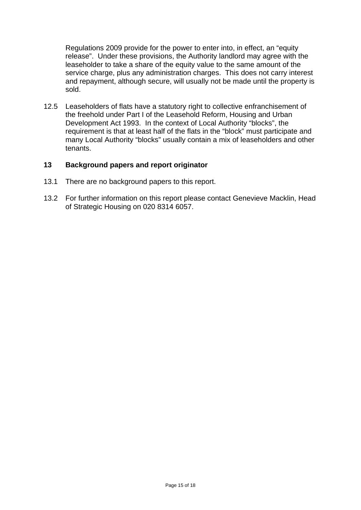Regulations 2009 provide for the power to enter into, in effect, an "equity release". Under these provisions, the Authority landlord may agree with the leaseholder to take a share of the equity value to the same amount of the service charge, plus any administration charges. This does not carry interest and repayment, although secure, will usually not be made until the property is sold.

12.5 Leaseholders of flats have a statutory right to collective enfranchisement of the freehold under Part I of the Leasehold Reform, Housing and Urban Development Act 1993. In the context of Local Authority "blocks", the requirement is that at least half of the flats in the "block" must participate and many Local Authority "blocks" usually contain a mix of leaseholders and other tenants.

#### **13 Background papers and report originator**

- 13.1 There are no background papers to this report.
- 13.2 For further information on this report please contact Genevieve Macklin, Head of Strategic Housing on 020 8314 6057.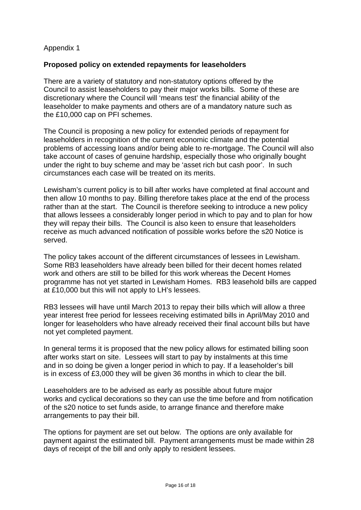# Appendix 1

#### **Proposed policy on extended repayments for leaseholders**

There are a variety of statutory and non-statutory options offered by the Council to assist leaseholders to pay their major works bills. Some of these are discretionary where the Council will 'means test' the financial ability of the leaseholder to make payments and others are of a mandatory nature such as the £10,000 cap on PFI schemes.

The Council is proposing a new policy for extended periods of repayment for leaseholders in recognition of the current economic climate and the potential problems of accessing loans and/or being able to re-mortgage. The Council will also take account of cases of genuine hardship, especially those who originally bought under the right to buy scheme and may be 'asset rich but cash poor'. In such circumstances each case will be treated on its merits.

Lewisham's current policy is to bill after works have completed at final account and then allow 10 months to pay. Billing therefore takes place at the end of the process rather than at the start. The Council is therefore seeking to introduce a new policy that allows lessees a considerably longer period in which to pay and to plan for how they will repay their bills. The Council is also keen to ensure that leaseholders receive as much advanced notification of possible works before the s20 Notice is served.

The policy takes account of the different circumstances of lessees in Lewisham. Some RB3 leaseholders have already been billed for their decent homes related work and others are still to be billed for this work whereas the Decent Homes programme has not yet started in Lewisham Homes. RB3 leasehold bills are capped at £10,000 but this will not apply to LH's lessees.

RB3 lessees will have until March 2013 to repay their bills which will allow a three year interest free period for lessees receiving estimated bills in April/May 2010 and longer for leaseholders who have already received their final account bills but have not yet completed payment.

In general terms it is proposed that the new policy allows for estimated billing soon after works start on site. Lessees will start to pay by instalments at this time and in so doing be given a longer period in which to pay. If a leaseholder's bill is in excess of £3,000 they will be given 36 months in which to clear the bill.

Leaseholders are to be advised as early as possible about future major works and cyclical decorations so they can use the time before and from notification of the s20 notice to set funds aside, to arrange finance and therefore make arrangements to pay their bill.

The options for payment are set out below. The options are only available for payment against the estimated bill. Payment arrangements must be made within 28 days of receipt of the bill and only apply to resident lessees.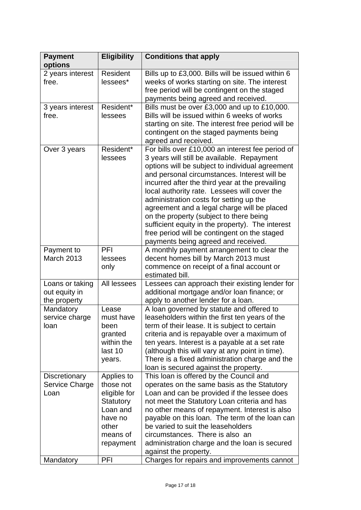| <b>Payment</b><br>options                        | <b>Eligibility</b>                                                                                            | <b>Conditions that apply</b>                                                                                                                                                                                                                                                                                                                                                                                                                                                                                                                                                         |
|--------------------------------------------------|---------------------------------------------------------------------------------------------------------------|--------------------------------------------------------------------------------------------------------------------------------------------------------------------------------------------------------------------------------------------------------------------------------------------------------------------------------------------------------------------------------------------------------------------------------------------------------------------------------------------------------------------------------------------------------------------------------------|
| 2 years interest<br>free.                        | <b>Resident</b><br>lessees*                                                                                   | Bills up to £3,000. Bills will be issued within 6<br>weeks of works starting on site. The interest<br>free period will be contingent on the staged<br>payments being agreed and received.                                                                                                                                                                                                                                                                                                                                                                                            |
| 3 years interest<br>free.                        | Resident*<br>lessees                                                                                          | Bills must be over £3,000 and up to £10,000.<br>Bills will be issued within 6 weeks of works<br>starting on site. The interest free period will be<br>contingent on the staged payments being<br>agreed and received.                                                                                                                                                                                                                                                                                                                                                                |
| Over 3 years                                     | Resident*<br>lessees                                                                                          | For bills over £10,000 an interest fee period of<br>3 years will still be available. Repayment<br>options will be subject to individual agreement<br>and personal circumstances. Interest will be<br>incurred after the third year at the prevailing<br>local authority rate. Lessees will cover the<br>administration costs for setting up the<br>agreement and a legal charge will be placed<br>on the property (subject to there being<br>sufficient equity in the property). The interest<br>free period will be contingent on the staged<br>payments being agreed and received. |
| Payment to<br><b>March 2013</b>                  | PFI<br>lessees<br>only                                                                                        | A monthly payment arrangement to clear the<br>decent homes bill by March 2013 must<br>commence on receipt of a final account or<br>estimated bill.                                                                                                                                                                                                                                                                                                                                                                                                                                   |
| Loans or taking<br>out equity in<br>the property | All lessees                                                                                                   | Lessees can approach their existing lender for<br>additional mortgage and/or loan finance; or<br>apply to another lender for a loan.                                                                                                                                                                                                                                                                                                                                                                                                                                                 |
| Mandatory<br>service charge<br>loan              | Lease<br>must have<br>been<br>granted<br>within the<br>last 10<br>years.                                      | A loan governed by statute and offered to<br>leaseholders within the first ten years of the<br>term of their lease. It is subject to certain<br>criteria and is repayable over a maximum of<br>ten years. Interest is a payable at a set rate<br>(although this will vary at any point in time).<br>There is a fixed administration charge and the<br>loan is secured against the property.                                                                                                                                                                                          |
| <b>Discretionary</b><br>Service Charge<br>Loan   | Applies to<br>those not<br>eligible for<br>Statutory<br>Loan and<br>have no<br>other<br>means of<br>repayment | This loan is offered by the Council and<br>operates on the same basis as the Statutory<br>Loan and can be provided if the lessee does<br>not meet the Statutory Loan criteria and has<br>no other means of repayment. Interest is also<br>payable on this loan. The term of the loan can<br>be varied to suit the leaseholders<br>circumstances. There is also an<br>administration charge and the loan is secured<br>against the property.                                                                                                                                          |
| Mandatory                                        | PFI                                                                                                           | Charges for repairs and improvements cannot                                                                                                                                                                                                                                                                                                                                                                                                                                                                                                                                          |